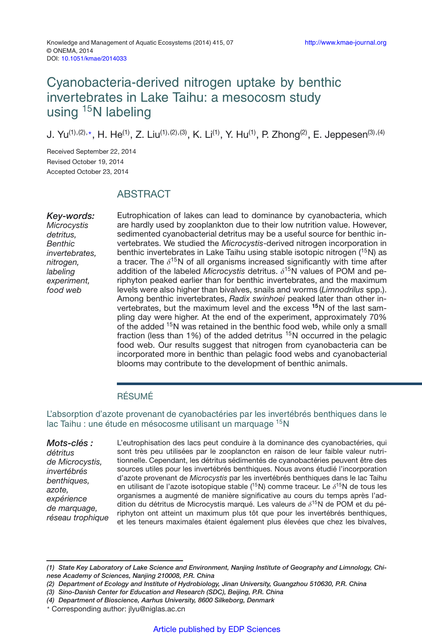# Cyanobacteria-derived nitrogen uptake by benthic invertebrates in Lake Taihu: a mesocosm study using <sup>15</sup>N labeling

J. Yu<sup>(1),(2),</sup>\*, H. He<sup>(1)</sup>, Z. Liu<sup>(1),(2),(3)</sup>, K. Li<sup>(1)</sup>, Y. Hu<sup>(1)</sup>, P. Zhong<sup>(2)</sup>, E. Jeppesen<sup>(3),(4)</sup>

Received September 22, 2014 Revised October 19, 2014 Accepted October 23, 2014

# **ABSTRACT**

*Key-words: Microcystis detritus, Benthic invertebrates, nitrogen, labeling experiment, food web*

Eutrophication of lakes can lead to dominance by cyanobacteria, which are hardly used by zooplankton due to their low nutrition value. However, sedimented cyanobacterial detritus may be a useful source for benthic invertebrates. We studied the *Microcystis*-derived nitrogen incorporation in benthic invertebrates in Lake Taihu using stable isotopic nitrogen (<sup>15</sup>N) as a tracer. The  $\delta^{15}$ N of all organisms increased significantly with time after addition of the labeled *Microcystis* detritus.  $\delta^{15}$ N values of POM and periphyton peaked earlier than for benthic invertebrates, and the maximum levels were also higher than bivalves, snails and worms (*Limnodrilus* spp.). Among benthic invertebrates, *Radix swinhoei* peaked later than other invertebrates, but the maximum level and the excess **<sup>15</sup>**N of the last sampling day were higher. At the end of the experiment, approximately 70% of the added <sup>15</sup>N was retained in the benthic food web, while only a small fraction (less than 1%) of the added detritus <sup>15</sup>N occurred in the pelagic food web. Our results suggest that nitrogen from cyanobacteria can be incorporated more in benthic than pelagic food webs and cyanobacterial blooms may contribute to the development of benthic animals.

## RÉSUMÉ

L'absorption d'azote provenant de cyanobactéries par les invertébrés benthiques dans le lac Taihu : une étude en mésocosme utilisant un marquage <sup>15</sup>N

*Mots-clés : détritus de Microcystis, invertébrés benthiques, azote, expérience de marquage, réseau trophique* L'eutrophisation des lacs peut conduire à la dominance des cyanobactéries, qui sont très peu utilisées par le zooplancton en raison de leur faible valeur nutritionnelle. Cependant, les détritus sédimentés de cyanobactéries peuvent être des sources utiles pour les invertébrés benthiques. Nous avons étudié l'incorporation d'azote provenant de *Microcystis* par les invertébrés benthiques dans le lac Taihu en utilisant de l'azote isotopique stable (<sup>15</sup>N) comme traceur. Le  $\delta^{15}N$  de tous les organismes a augmenté de manière significative au cours du temps après l'addition du détritus de Microcystis marqué. Les valeurs de  $\delta^{15}N$  de POM et du périphyton ont atteint un maximum plus tôt que pour les invertébrés benthiques, et les teneurs maximales étaient également plus élevées que chez les bivalves,

*<sup>(1)</sup> State Key Laboratory of Lake Science and Environment, Nanjing Institute of Geography and Limnology, Chinese Academy of Sciences, Nanjing 210008, P.R. China*

*<sup>(2)</sup> Department of Ecology and Institute of Hydrobiology, Jinan University, Guangzhou 510630, P.R. China*

*<sup>(3)</sup> Sino-Danish Center for Education and Research (SDC), Beijing, P.R. China*

*<sup>(4)</sup> Department of Bioscience, Aarhus University, 8600 Silkeborg, Denmark*

<sup>-</sup> Corresponding author: jlyu@niglas.ac.cn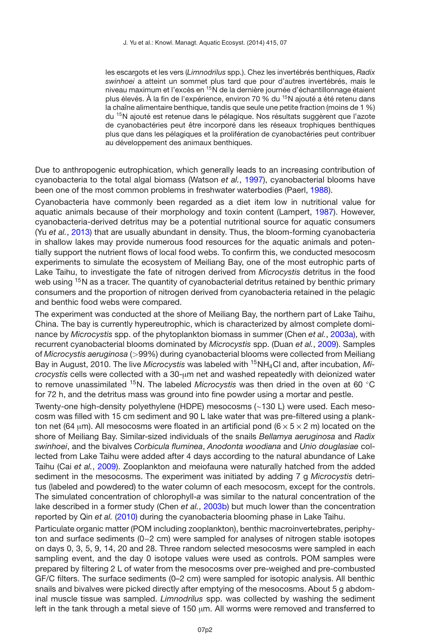les escargots et les vers (*Limnodrilus* spp.). Chez les invertébrés benthiques, *Radix swinhoei* a atteint un sommet plus tard que pour d'autres invertébrés, mais le niveau maximum et l'excès en <sup>15</sup>N de la dernière journée d'échantillonnage étaient plus élevés. À la fin de l'expérience, environ 70 % du 15N ajouté a été retenu dans la chaîne alimentaire benthique, tandis que seule une petite fraction (moins de 1 %) du <sup>15</sup>N ajouté est retenue dans le pélagique. Nos résultats suggèrent que l'azote de cyanobactéries peut être incorporé dans les réseaux trophiques benthiques plus que dans les pélagiques et la prolifération de cyanobactéries peut contribuer au développement des animaux benthiques.

Due to anthropogenic eutrophication, which generally leads to an increasing contribution of cyanobacteria to the total algal biomass (Watson *et al.*, [1997](#page-5-0)), cyanobacterial blooms have been one of the most common problems in freshwater waterbodies (Paerl, [1988](#page-5-1)).

Cyanobacteria have commonly been regarded as a diet item low in nutritional value for aquatic animals because of their morphology and toxin content (Lampert, [1987](#page-4-0)). However, cyanobacteria-derived detritus may be a potential nutritional source for aquatic consumers (Yu *et al.*, [2013\)](#page-5-2) that are usually abundant in density. Thus, the bloom-forming cyanobacteria in shallow lakes may provide numerous food resources for the aquatic animals and potentially support the nutrient flows of local food webs. To confirm this, we conducted mesocosm experiments to simulate the ecosystem of Meiliang Bay, one of the most eutrophic parts of Lake Taihu, to investigate the fate of nitrogen derived from *Microcystis* detritus in the food web using <sup>15</sup>N as a tracer. The quantity of cyanobacterial detritus retained by benthic primary consumers and the proportion of nitrogen derived from cyanobacteria retained in the pelagic and benthic food webs were compared.

The experiment was conducted at the shore of Meiliang Bay, the northern part of Lake Taihu, China. The bay is currently hypereutrophic, which is characterized by almost complete dominance by *Microcystis* spp. of the phytoplankton biomass in summer (Chen *et al.*, [2003a](#page-4-1)), with recurrent cyanobacterial blooms dominated by *Microcystis* spp. (Duan *et al.*, [2009\)](#page-4-2). Samples of *Microcystis aeruginosa* (*>*99%) during cyanobacterial blooms were collected from Meiliang Bay in August, 2010. The live *Microcystis* was labeled with 15NH4Cl and, after incubation, *Microcystis* cells were collected with a 30-µm net and washed repeatedly with deionized water to remove unassimilated 15N. The labeled *Microcystis* was then dried in the oven at 60 ◦C for 72 h, and the detritus mass was ground into fine powder using a mortar and pestle.

Twenty-one high-density polyethylene (HDPE) mesocosms (∼130 L) were used. Each mesocosm was filled with 15 cm sediment and 90 L lake water that was pre-filtered using a plankton net (64  $\mu$ m). All mesocosms were floated in an artificial pond (6  $\times$  5  $\times$  2 m) located on the shore of Meiliang Bay. Similar-sized individuals of the snails *Bellamya aeruginosa* and *Radix swinhoei*, and the bivalves *Corbicula fluminea*, *Anodonta woodiana* and *Unio douglasiae* collected from Lake Taihu were added after 4 days according to the natural abundance of Lake Taihu (Cai *et al.*, [2009](#page-4-3)). Zooplankton and meiofauna were naturally hatched from the added sediment in the mesocosms. The experiment was initiated by adding 7 g *Microcystis* detritus (labeled and powdered) to the water column of each mesocosm, except for the controls. The simulated concentration of chlorophyll-*a* was similar to the natural concentration of the lake described in a former study (Chen *et al.*, [2003b](#page-4-4)) but much lower than the concentration reported by Qin *et al.* [\(2010\)](#page-5-3) during the cyanobacteria blooming phase in Lake Taihu.

Particulate organic matter (POM including zooplankton), benthic macroinvertebrates, periphyton and surface sediments (0−2 cm) were sampled for analyses of nitrogen stable isotopes on days 0, 3, 5, 9, 14, 20 and 28. Three random selected mesocosms were sampled in each sampling event, and the day 0 isotope values were used as controls. POM samples were prepared by filtering 2 L of water from the mesocosms over pre-weighed and pre-combusted GF/C filters. The surface sediments (0–2 cm) were sampled for isotopic analysis. All benthic snails and bivalves were picked directly after emptying of the mesocosms. About 5 g abdominal muscle tissue was sampled. *Limnodrilus* spp. was collected by washing the sediment left in the tank through a metal sieve of 150  $µm$ . All worms were removed and transferred to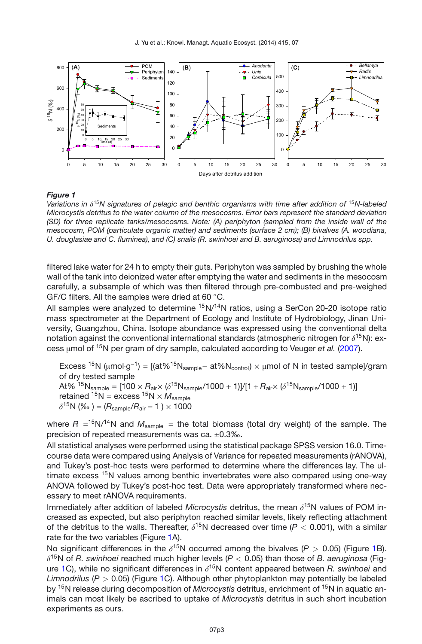<span id="page-2-0"></span>

#### *Figure 1*

*Variations in* δ<sup>15</sup>*N signatures of pelagic and benthic organisms with time after addition of* <sup>15</sup>*N-labeled Microcystis detritus to the water column of the mesocosms. Error bars represent the standard deviation (SD) for three replicate tanks/mesocosms. Note: (A) periphyton (sampled from the inside wall of the mesocosm, POM (particulate organic matter) and sediments (surface 2 cm); (B) bivalves (A. woodiana, U. douglasiae and C. fluminea), and (C) snails (R. swinhoei and B. aeruginosa) and Limnodrilus spp.*

filtered lake water for 24 h to empty their guts. Periphyton was sampled by brushing the whole wall of the tank into deionized water after emptying the water and sediments in the mesocosm carefully, a subsample of which was then filtered through pre-combusted and pre-weighed GF/C filters. All the samples were dried at 60 ◦C.

All samples were analyzed to determine  $15N/14N$  ratios, using a SerCon 20-20 isotope ratio mass spectrometer at the Department of Ecology and Institute of Hydrobiology, Jinan University, Guangzhou, China. Isotope abundance was expressed using the conventional delta notation against the conventional international standards (atmospheric nitrogen for  $\delta^{15}N$ ): excess µmol of 15N per gram of dry sample, calculated according to Veuger *et al.* [\(2007](#page-5-4)).

Excess <sup>15</sup>N (µmol·g<sup>-1</sup>) =  $[(at\%15N_{sample}-at\%N_{control}) \times \mu$ mol of N in tested sample]/gram of dry tested sample  $A\frac{15}{15}N_{\text{sample}} = \frac{100 \times R_{\text{air}} \times (\delta^{15}N_{\text{sample}}/1000 + 1)}{11 + R_{\text{air}} \times (\delta^{15}N_{\text{sample}}/1000 + 1)}$ retained  ${}^{15}N =$  excess  ${}^{15}N \times M_{\text{sample}}$  $\delta^{15}N$  (% ) =  $(R_{\text{sample}}/R_{\text{air}} - 1) \times 1000$ 

where  $R = 15N/14N$  and  $M_{sample} =$  the total biomass (total dry weight) of the sample. The precision of repeated measurements was ca. ±0.3‰.

All statistical analyses were performed using the statistical package SPSS version 16.0. Timecourse data were compared using Analysis of Variance for repeated measurements (rANOVA), and Tukey's post-hoc tests were performed to determine where the differences lay. The ultimate excess <sup>15</sup>N values among benthic invertebrates were also compared using one-way ANOVA followed by Tukey's post-hoc test. Data were appropriately transformed where necessary to meet rANOVA requirements.

Immediately after addition of labeled *Microcystis* detritus, the mean  $\delta^{15}N$  values of POM increased as expected, but also periphyton reached similar levels, likely reflecting attachment of the detritus to the walls. Thereafter,  $\delta^{15}$ N decreased over time ( $P < 0.001$ ), with a similar rate for the two variables (Figure [1A](#page-2-0)).

No significant differences in the  $\delta^{15}N$  occurred among the bivalves ( $P > 0.05$ ) (Figure [1B](#page-2-0)).  $\delta^{15}$ N of *R. swinhoei* reached much higher levels (*P* < 0.05) than those of *B. aeruginosa* (Fig-ure [1C](#page-2-0)), while no significant differences in  $\delta^{15}$ N content appeared between *R. swinhoei* and *Limnodrilus* (*P >* 0.05) (Figure [1C](#page-2-0)). Although other phytoplankton may potentially be labeled by 15N release during decomposition of *Microcystis* detritus, enrichment of 15N in aquatic animals can most likely be ascribed to uptake of *Microcystis* detritus in such short incubation experiments as ours.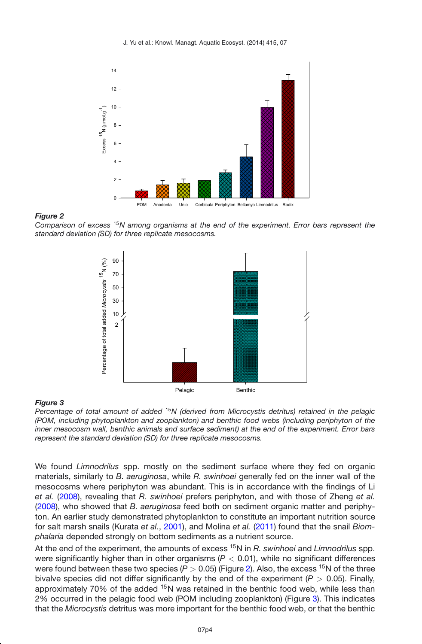<span id="page-3-0"></span>

#### *Figure 2*

*Comparison of excess* <sup>15</sup>*N among organisms at the end of the experiment. Error bars represent the standard deviation (SD) for three replicate mesocosms.*

<span id="page-3-1"></span>

#### *Figure 3*

*Percentage of total amount of added* <sup>15</sup>*N (derived from Microcystis detritus) retained in the pelagic (POM, including phytoplankton and zooplankton) and benthic food webs (including periphyton of the inner mesocosm wall, benthic animals and surface sediment) at the end of the experiment. Error bars represent the standard deviation (SD) for three replicate mesocosms.*

We found *Limnodrilus* spp. mostly on the sediment surface where they fed on organic materials, similarly to *B. aeruginosa*, while *R. swinhoei* generally fed on the inner wall of the mesocosms where periphyton was abundant. This is in accordance with the findings of Li *et al.* [\(2008\)](#page-5-5), revealing that *R. swinhoei* prefers periphyton, and with those of Zheng *et al.* [\(2008](#page-5-6)), who showed that *B. aeruginosa* feed both on sediment organic matter and periphyton. An earlier study demonstrated phytoplankton to constitute an important nutrition source for salt marsh snails (Kurata *et al.*, [2001](#page-4-5)), and Molina *et al.* [\(2011](#page-5-7)) found that the snail *Biomphalaria* depended strongly on bottom sediments as a nutrient source.

At the end of the experiment, the amounts of excess 15N in *R. swinhoei* and *Limnodrilus* spp. were significantly higher than in other organisms (*P <* 0.01), while no significant differences were found between these two species ( $P > 0.05$ ) (Figure [2\)](#page-3-0). Also, the excess <sup>15</sup>N of the three bivalve species did not differ significantly by the end of the experiment (*P >* 0.05). Finally, approximately 70% of the added  $15N$  was retained in the benthic food web, while less than 2% occurred in the pelagic food web (POM including zooplankton) (Figure [3\)](#page-3-1). This indicates that the *Microcystis* detritus was more important for the benthic food web, or that the benthic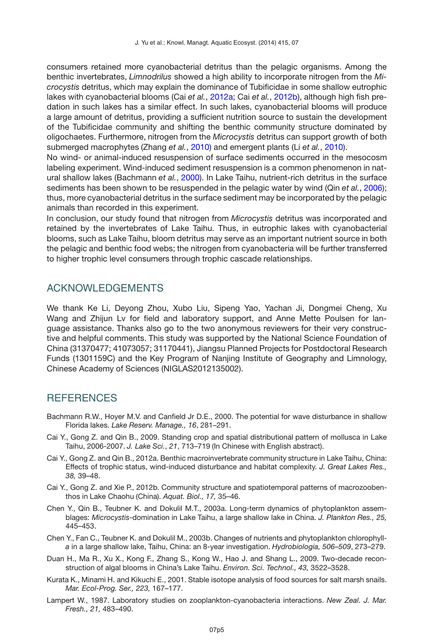consumers retained more cyanobacterial detritus than the pelagic organisms. Among the benthic invertebrates, *Limnodrilus* showed a high ability to incorporate nitrogen from the *Microcystis* detritus, which may explain the dominance of Tubificidae in some shallow eutrophic lakes with cyanobacterial blooms (Cai *et al.*, [2012a;](#page-4-6) Cai *et al.*, [2012b\)](#page-4-7), although high fish predation in such lakes has a similar effect. In such lakes, cyanobacterial blooms will produce a large amount of detritus, providing a sufficient nutrition source to sustain the development of the Tubificidae community and shifting the benthic community structure dominated by oligochaetes. Furthermore, nitrogen from the *Microcystis* detritus can support growth of both submerged macrophytes (Zhang *et al.*, [2010](#page-5-8)) and emergent plants (Li *et al.*, [2010\)](#page-5-9).

No wind- or animal-induced resuspension of surface sediments occurred in the mesocosm labeling experiment. Wind-induced sediment resuspension is a common phenomenon in natural shallow lakes (Bachmann *et al.*, [2000](#page-4-8)). In Lake Taihu, nutrient-rich detritus in the surface sediments has been shown to be resuspended in the pelagic water by wind (Qin *et al.*, [2006](#page-5-10)); thus, more cyanobacterial detritus in the surface sediment may be incorporated by the pelagic animals than recorded in this experiment.

In conclusion, our study found that nitrogen from *Microcystis* detritus was incorporated and retained by the invertebrates of Lake Taihu. Thus, in eutrophic lakes with cyanobacterial blooms, such as Lake Taihu, bloom detritus may serve as an important nutrient source in both the pelagic and benthic food webs; the nitrogen from cyanobacteria will be further transferred to higher trophic level consumers through trophic cascade relationships.

# ACKNOWLEDGEMENTS

We thank Ke Li, Deyong Zhou, Xubo Liu, Sipeng Yao, Yachan Ji, Dongmei Cheng, Xu Wang and Zhijun Lv for field and laboratory support, and Anne Mette Poulsen for language assistance. Thanks also go to the two anonymous reviewers for their very constructive and helpful comments. This study was supported by the National Science Foundation of China (31370477; 41073057; 31170441), Jiangsu Planned Projects for Postdoctoral Research Funds (1301159C) and the Key Program of Nanjing Institute of Geography and Limnology, Chinese Academy of Sciences (NIGLAS2012135002).

### **REFERENCES**

- <span id="page-4-8"></span>Bachmann R.W., Hoyer M.V. and Canfield Jr D.E., 2000. The potential for wave disturbance in shallow Florida lakes. *Lake Reserv. Manage., 16*, 281–291.
- <span id="page-4-3"></span>Cai Y., Gong Z. and Qin B., 2009. Standing crop and spatial distributional pattern of mollusca in Lake Taihu, 2006-2007. *J. Lake Sci.*, *21*, 713–719 (In Chinese with English abstract).
- <span id="page-4-6"></span>Cai Y., Gong Z. and Qin B., 2012a. Benthic macroinvertebrate community structure in Lake Taihu, China: Effects of trophic status, wind-induced disturbance and habitat complexity. *J. Great Lakes Res., 38,* 39–48.
- <span id="page-4-7"></span>Cai Y., Gong Z. and Xie P., 2012b. Community structure and spatiotemporal patterns of macrozoobenthos in Lake Chaohu (China). *Aquat. Biol., 17,* 35–46.
- <span id="page-4-1"></span>Chen Y., Qin B., Teubner K. and Dokulil M.T., 2003a. Long-term dynamics of phytoplankton assemblages: *Microcystis*-domination in Lake Taihu, a large shallow lake in China. *J. Plankton Res., 25,* 445–453.
- <span id="page-4-4"></span>Chen Y., Fan C., Teubner K. and Dokulil M., 2003b. Changes of nutrients and phytoplankton chlorophyll*a* in a large shallow lake, Taihu, China: an 8-year investigation. *Hydrobiologia, 506–509*, 273–279.
- <span id="page-4-2"></span>Duan H., Ma R., Xu X., Kong F., Zhang S., Kong W., Hao J. and Shang L., 2009. Two-decade reconstruction of algal blooms in China's Lake Taihu. *Environ. Sci. Technol., 43,* 3522–3528.
- <span id="page-4-5"></span>Kurata K., Minami H. and Kikuchi E., 2001. Stable isotope analysis of food sources for salt marsh snails. *Mar. Ecol-Prog. Ser., 223,* 167–177.
- <span id="page-4-0"></span>Lampert W., 1987. Laboratory studies on zooplankton-cyanobacteria interactions. *New Zeal. J. Mar. Fresh., 21,* 483–490.